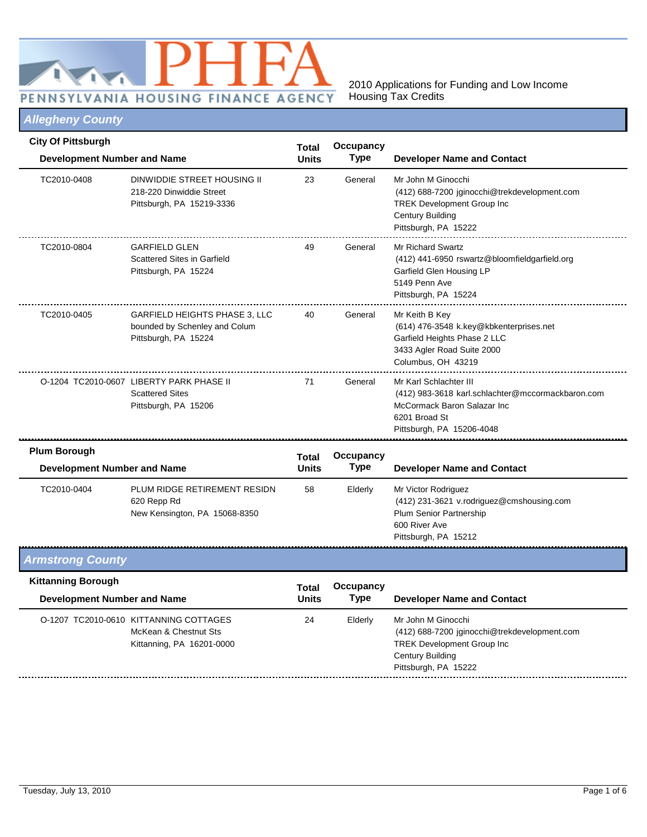

### *Allegheny County*

| <b>City Of Pittsburgh</b><br><b>Development Number and Name</b> |                                                                                               | <b>Total</b><br><b>Units</b> | Occupancy<br>Type | <b>Developer Name and Contact</b>                                                                                                                          |
|-----------------------------------------------------------------|-----------------------------------------------------------------------------------------------|------------------------------|-------------------|------------------------------------------------------------------------------------------------------------------------------------------------------------|
| TC2010-0408                                                     | DINWIDDIE STREET HOUSING II<br>218-220 Dinwiddie Street<br>Pittsburgh, PA 15219-3336          | 23                           | General           | Mr John M Ginocchi<br>(412) 688-7200 jginocchi@trekdevelopment.com<br><b>TREK Development Group Inc</b><br><b>Century Building</b><br>Pittsburgh, PA 15222 |
| TC2010-0804                                                     | <b>GARFIELD GLEN</b><br>Scattered Sites in Garfield<br>Pittsburgh, PA 15224                   | 49                           | General           | Mr Richard Swartz<br>(412) 441-6950 rswartz@bloomfieldgarfield.org<br>Garfield Glen Housing LP<br>5149 Penn Ave<br>Pittsburgh, PA 15224                    |
| TC2010-0405                                                     | <b>GARFIELD HEIGHTS PHASE 3, LLC</b><br>bounded by Schenley and Colum<br>Pittsburgh, PA 15224 | 40                           | General           | Mr Keith B Key<br>(614) 476-3548 k.key@kbkenterprises.net<br>Garfield Heights Phase 2 LLC<br>3433 Agler Road Suite 2000<br>Columbus, OH 43219              |
|                                                                 | O-1204 TC2010-0607 LIBERTY PARK PHASE II<br><b>Scattered Sites</b><br>Pittsburgh, PA 15206    | 71                           | General           | Mr Karl Schlachter III<br>(412) 983-3618 karl.schlachter@mccormackbaron.com<br>McCormack Baron Salazar Inc.<br>6201 Broad St<br>Pittsburgh, PA 15206-4048  |

| uun borougn<br>Development Number and Name |                                                                              | Total<br><b>Units</b> | Occupancy<br>Type | <b>Developer Name and Contact</b>                                                                                                    |  |
|--------------------------------------------|------------------------------------------------------------------------------|-----------------------|-------------------|--------------------------------------------------------------------------------------------------------------------------------------|--|
| TC2010-0404                                | PLUM RIDGE RETIREMENT RESIDN<br>620 Repp Rd<br>New Kensington, PA 15068-8350 | 58                    | Elderly           | Mr Victor Rodriguez<br>(412) 231-3621 v.rodriguez@cmshousing.com<br>Plum Senior Partnership<br>600 River Ave<br>Pittsburgh, PA 15212 |  |

### *Armstrong County*

| <b>Kittanning Borough</b> | Development Number and Name                                                                  |    | Occupancy<br><b>Type</b> | <b>Developer Name and Contact</b>                                                                                                                    |
|---------------------------|----------------------------------------------------------------------------------------------|----|--------------------------|------------------------------------------------------------------------------------------------------------------------------------------------------|
|                           | O-1207 TC2010-0610 KITTANNING COTTAGES<br>McKean & Chestnut Sts<br>Kittanning, PA 16201-0000 | 24 | Elderly                  | Mr John M Ginocchi<br>(412) 688-7200 jginocchi@trekdevelopment.com<br><b>TREK Development Group Inc.</b><br>Century Building<br>Pittsburgh, PA 15222 |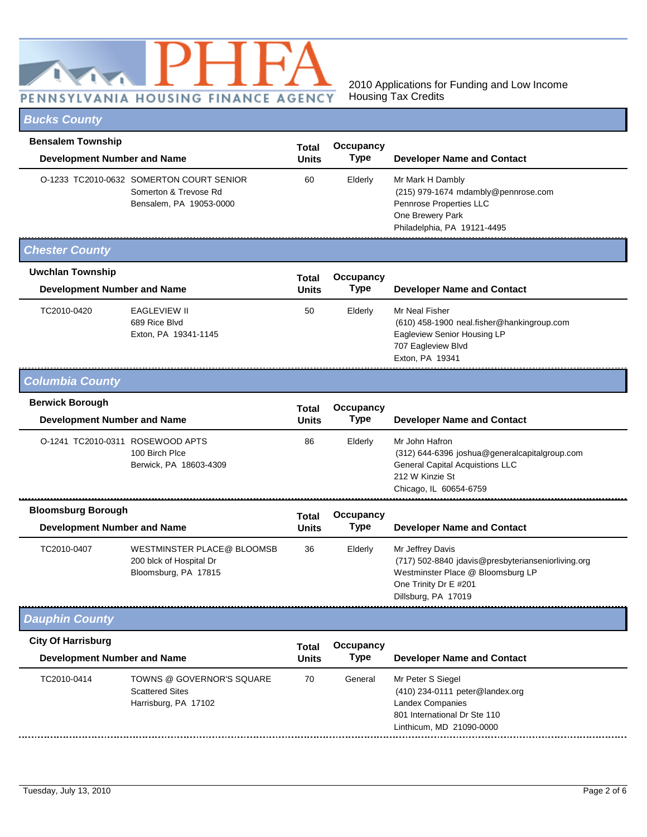

## *Bucks County*

| <b>Bensalem Township</b>                                     |                                                                                              | Total                        | Occupancy                |                                                                                                                                                             |
|--------------------------------------------------------------|----------------------------------------------------------------------------------------------|------------------------------|--------------------------|-------------------------------------------------------------------------------------------------------------------------------------------------------------|
| <b>Development Number and Name</b>                           |                                                                                              | Units                        | <b>Type</b>              | <b>Developer Name and Contact</b>                                                                                                                           |
|                                                              | O-1233 TC2010-0632 SOMERTON COURT SENIOR<br>Somerton & Trevose Rd<br>Bensalem, PA 19053-0000 | 60                           | Elderly                  | Mr Mark H Dambly<br>(215) 979-1674 mdambly@pennrose.com<br>Pennrose Properties LLC<br>One Brewery Park<br>Philadelphia, PA 19121-4495                       |
| <b>Chester County</b>                                        |                                                                                              |                              |                          |                                                                                                                                                             |
| <b>Uwchlan Township</b>                                      |                                                                                              | <b>Total</b>                 | Occupancy                |                                                                                                                                                             |
| <b>Development Number and Name</b>                           |                                                                                              | Units                        | <b>Type</b>              | <b>Developer Name and Contact</b>                                                                                                                           |
| TC2010-0420                                                  | <b>EAGLEVIEW II</b><br>689 Rice Blvd<br>Exton, PA 19341-1145                                 | 50                           | Elderly                  | Mr Neal Fisher<br>(610) 458-1900 neal.fisher@hankingroup.com<br>Eagleview Senior Housing LP<br>707 Eagleview Blvd<br>Exton, PA 19341                        |
| <b>Columbia County</b>                                       |                                                                                              |                              |                          |                                                                                                                                                             |
| <b>Berwick Borough</b><br><b>Development Number and Name</b> |                                                                                              | <b>Total</b><br><b>Units</b> | Occupancy<br><b>Type</b> | <b>Developer Name and Contact</b>                                                                                                                           |
| O-1241 TC2010-0311 ROSEWOOD APTS                             | 100 Birch Plce<br>Berwick, PA 18603-4309                                                     | 86                           | Elderly                  | Mr John Hafron<br>(312) 644-6396 joshua@generalcapitalgroup.com<br><b>General Capital Acquistions LLC</b><br>212 W Kinzie St<br>Chicago, IL 60654-6759      |
| <b>Bloomsburg Borough</b>                                    |                                                                                              | Total                        | Occupancy                |                                                                                                                                                             |
| <b>Development Number and Name</b>                           |                                                                                              | <b>Units</b>                 | <b>Type</b>              | <b>Developer Name and Contact</b>                                                                                                                           |
| TC2010-0407                                                  | WESTMINSTER PLACE@ BLOOMSB<br>200 blck of Hospital Dr<br>Bloomsburg, PA 17815                | 36                           | Elderly                  | Mr Jeffrey Davis<br>(717) 502-8840 jdavis@presbyterianseniorliving.org<br>Westminster Place @ Bloomsburg LP<br>One Trinity Dr E #201<br>Dillsburg, PA 17019 |
| <b>Dauphin County</b>                                        |                                                                                              |                              |                          |                                                                                                                                                             |
| <b>City Of Harrisburg</b>                                    |                                                                                              | Total                        | Occupancy                |                                                                                                                                                             |
| <b>Development Number and Name</b>                           |                                                                                              | <b>Units</b>                 | <b>Type</b>              | <b>Developer Name and Contact</b>                                                                                                                           |
| TC2010-0414                                                  | TOWNS @ GOVERNOR'S SQUARE<br><b>Scattered Sites</b><br>Harrisburg, PA 17102                  | 70                           | General                  | Mr Peter S Siegel<br>(410) 234-0111 peter@landex.org<br><b>Landex Companies</b><br>801 International Dr Ste 110<br>Linthicum, MD 21090-0000                 |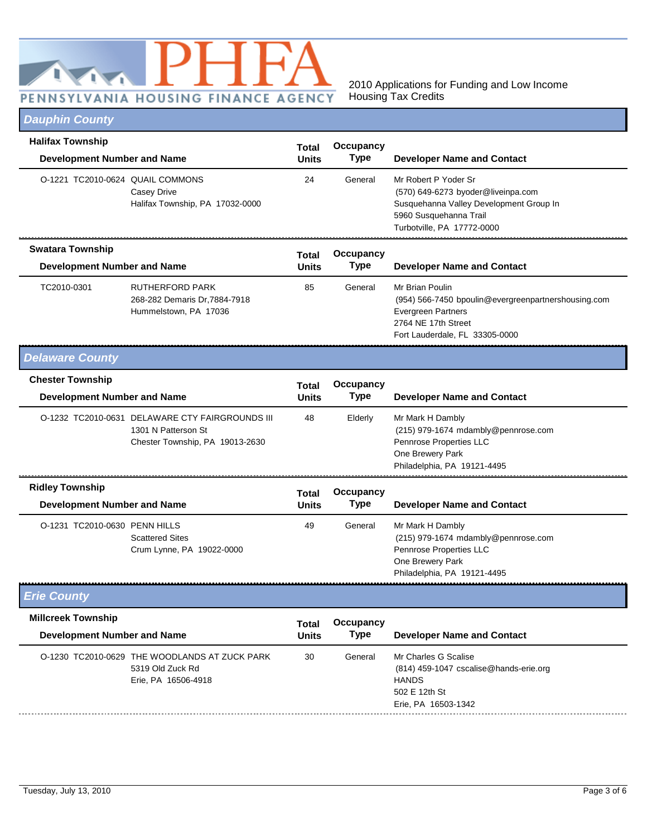

# *Dauphin County*

| <b>Halifax Township</b><br><b>Development Number and Name</b> |                                                                                                           | <b>Total</b><br><b>Units</b> | Occupancy<br><b>Type</b> | <b>Developer Name and Contact</b>                                                                                                                             |
|---------------------------------------------------------------|-----------------------------------------------------------------------------------------------------------|------------------------------|--------------------------|---------------------------------------------------------------------------------------------------------------------------------------------------------------|
| O-1221 TC2010-0624 QUAIL COMMONS                              | <b>Casey Drive</b><br>Halifax Township, PA 17032-0000                                                     | 24                           | General                  | Mr Robert P Yoder Sr<br>(570) 649-6273 byoder@liveinpa.com<br>Susquehanna Valley Development Group In<br>5960 Susquehanna Trail<br>Turbotville, PA 17772-0000 |
| <b>Swatara Township</b><br><b>Development Number and Name</b> |                                                                                                           | <b>Total</b><br><b>Units</b> | Occupancy<br><b>Type</b> | <b>Developer Name and Contact</b>                                                                                                                             |
| TC2010-0301                                                   | <b>RUTHERFORD PARK</b><br>268-282 Demaris Dr, 7884-7918<br>Hummelstown, PA 17036                          | 85                           | General                  | Mr Brian Poulin<br>(954) 566-7450 bpoulin@evergreenpartnershousing.com<br><b>Evergreen Partners</b><br>2764 NE 17th Street<br>Fort Lauderdale, FL 33305-0000  |
| <b>Delaware County</b>                                        |                                                                                                           |                              |                          |                                                                                                                                                               |
| <b>Chester Township</b><br><b>Development Number and Name</b> |                                                                                                           | <b>Total</b><br><b>Units</b> | Occupancy<br>Type        | <b>Developer Name and Contact</b>                                                                                                                             |
|                                                               | O-1232 TC2010-0631 DELAWARE CTY FAIRGROUNDS III<br>1301 N Patterson St<br>Chester Township, PA 19013-2630 | 48                           | Elderly                  | Mr Mark H Dambly<br>(215) 979-1674 mdambly@pennrose.com<br>Pennrose Properties LLC<br>One Brewery Park<br>Philadelphia, PA 19121-4495                         |
| <b>Ridley Township</b>                                        |                                                                                                           | Total                        | Occupancy                |                                                                                                                                                               |
| <b>Development Number and Name</b>                            |                                                                                                           | <b>Units</b>                 | <b>Type</b>              | <b>Developer Name and Contact</b>                                                                                                                             |
| O-1231 TC2010-0630 PENN HILLS                                 | <b>Scattered Sites</b><br>Crum Lynne, PA 19022-0000                                                       | 49                           | General                  | Mr Mark H Dambly<br>(215) 979-1674 mdambly@pennrose.com<br>Pennrose Properties LLC<br>One Brewery Park<br>Philadelphia, PA 19121-4495                         |
| <b>Erie County</b>                                            |                                                                                                           |                              |                          |                                                                                                                                                               |
| <b>Millcreek Township</b>                                     |                                                                                                           | <b>Total</b>                 | Occupancy                |                                                                                                                                                               |
| <b>Development Number and Name</b>                            |                                                                                                           | Units                        | <b>Type</b>              | <b>Developer Name and Contact</b>                                                                                                                             |
|                                                               | O-1230 TC2010-0629 THE WOODLANDS AT ZUCK PARK<br>5319 Old Zuck Rd<br>Erie, PA 16506-4918                  | 30                           | General                  | Mr Charles G Scalise<br>(814) 459-1047 cscalise@hands-erie.org<br><b>HANDS</b><br>502 E 12th St<br>Erie, PA 16503-1342                                        |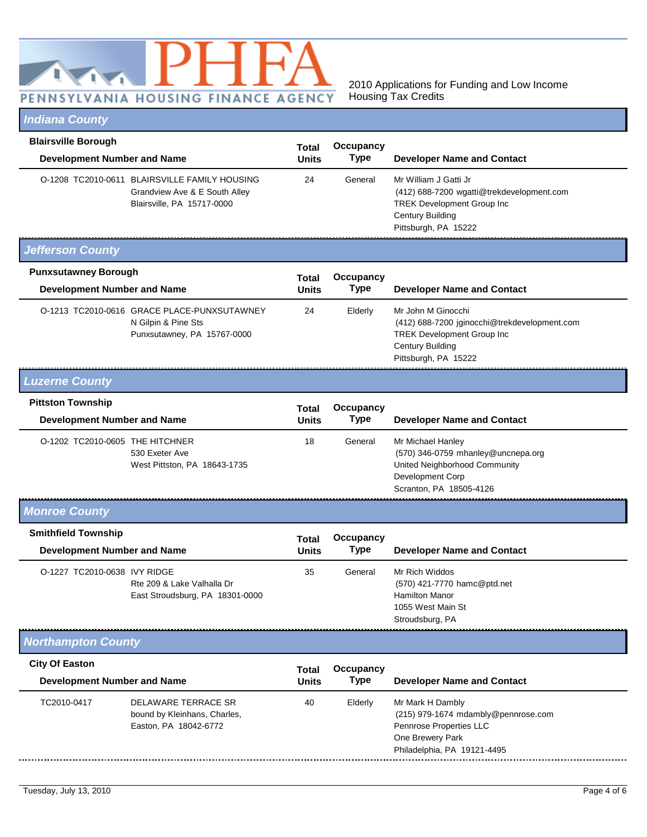

## *Indiana County*

| <b>Blairsville Borough</b>                                       |                                                                                                              | Total                        | Occupancy                |                                                                                                                                                            |  |
|------------------------------------------------------------------|--------------------------------------------------------------------------------------------------------------|------------------------------|--------------------------|------------------------------------------------------------------------------------------------------------------------------------------------------------|--|
| <b>Development Number and Name</b>                               |                                                                                                              | <b>Units</b>                 | Type                     | <b>Developer Name and Contact</b>                                                                                                                          |  |
|                                                                  | O-1208 TC2010-0611 BLAIRSVILLE FAMILY HOUSING<br>Grandview Ave & E South Alley<br>Blairsville, PA 15717-0000 | 24                           | General                  | Mr William J Gatti Jr<br>(412) 688-7200 wgatti@trekdevelopment.com<br><b>TREK Development Group Inc</b><br><b>Century Building</b><br>Pittsburgh, PA 15222 |  |
| <b>Jefferson County</b>                                          |                                                                                                              |                              |                          |                                                                                                                                                            |  |
| <b>Punxsutawney Borough</b>                                      |                                                                                                              | <b>Total</b>                 | Occupancy                |                                                                                                                                                            |  |
| <b>Development Number and Name</b>                               |                                                                                                              | <b>Units</b>                 | <b>Type</b>              | <b>Developer Name and Contact</b>                                                                                                                          |  |
|                                                                  | O-1213 TC2010-0616 GRACE PLACE-PUNXSUTAWNEY<br>N Gilpin & Pine Sts<br>Punxsutawney, PA 15767-0000            | 24                           | Elderly                  | Mr John M Ginocchi<br>(412) 688-7200 jginocchi@trekdevelopment.com<br><b>TREK Development Group Inc</b><br><b>Century Building</b><br>Pittsburgh, PA 15222 |  |
| <b>Luzerne County</b>                                            |                                                                                                              |                              |                          |                                                                                                                                                            |  |
| <b>Pittston Township</b><br><b>Development Number and Name</b>   |                                                                                                              | <b>Total</b><br><b>Units</b> | Occupancy<br><b>Type</b> | <b>Developer Name and Contact</b>                                                                                                                          |  |
| O-1202 TC2010-0605 THE HITCHNER                                  | 530 Exeter Ave<br>West Pittston, PA 18643-1735                                                               | 18                           | General                  | Mr Michael Hanley<br>(570) 346-0759 mhanley@uncnepa.org<br>United Neighborhood Community<br>Development Corp<br>Scranton, PA 18505-4126                    |  |
| <b>Monroe County</b>                                             |                                                                                                              |                              |                          |                                                                                                                                                            |  |
| <b>Smithfield Township</b><br><b>Development Number and Name</b> |                                                                                                              | <b>Total</b><br>Units        | Occupancy<br>Type        | <b>Developer Name and Contact</b>                                                                                                                          |  |
| O-1227 TC2010-0638 IVY RIDGE                                     | Rte 209 & Lake Valhalla Dr<br>East Stroudsburg, PA 18301-0000                                                | 35                           | General                  | Mr Rich Widdos<br>(570) 421-7770 hamc@ptd.net<br><b>Hamilton Manor</b><br>1055 West Main St<br>Stroudsburg, PA                                             |  |
| <b>Northampton County</b>                                        |                                                                                                              |                              |                          |                                                                                                                                                            |  |
| <b>City Of Easton</b>                                            |                                                                                                              | <b>Total</b>                 | Occupancy                |                                                                                                                                                            |  |
| <b>Development Number and Name</b>                               |                                                                                                              | <b>Units</b>                 | <b>Type</b>              | <b>Developer Name and Contact</b>                                                                                                                          |  |
| TC2010-0417                                                      | DELAWARE TERRACE SR<br>bound by Kleinhans, Charles,<br>Easton, PA 18042-6772                                 | 40                           | Elderly                  | Mr Mark H Dambly<br>(215) 979-1674 mdambly@pennrose.com<br>Pennrose Properties LLC<br>One Brewery Park<br>Philadelphia, PA 19121-4495                      |  |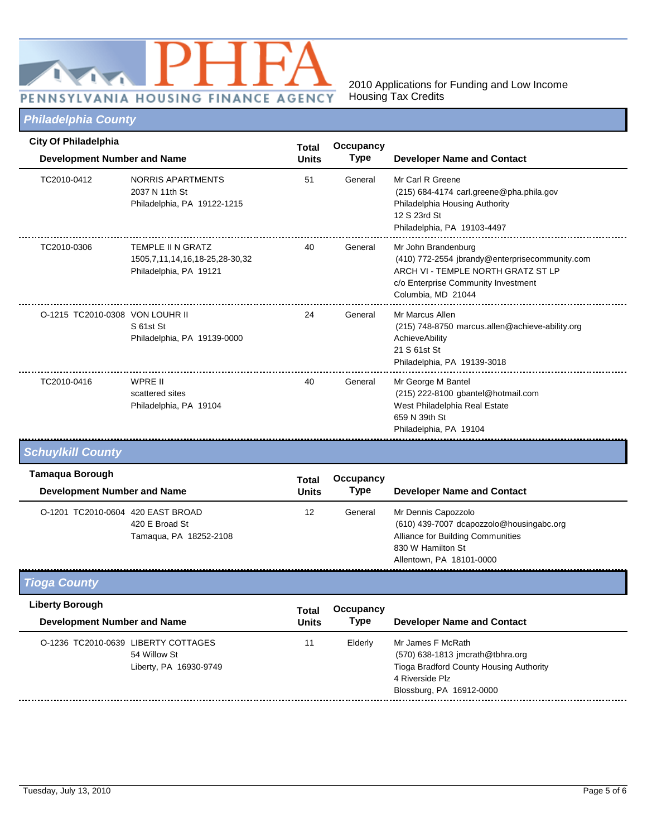

# *Philadelphia County*

| <b>City Of Philadelphia</b>                                  | <b>Development Number and Name</b>                                                   |                              | Occupancy<br><b>Type</b>        | <b>Developer Name and Contact</b>                                                                                                                                        |
|--------------------------------------------------------------|--------------------------------------------------------------------------------------|------------------------------|---------------------------------|--------------------------------------------------------------------------------------------------------------------------------------------------------------------------|
| TC2010-0412                                                  | NORRIS APARTMENTS<br>2037 N 11th St<br>Philadelphia, PA 19122-1215                   | 51                           | General                         | Mr Carl R Greene<br>(215) 684-4174 carl.greene@pha.phila.gov<br>Philadelphia Housing Authority<br>12 S 23rd St<br>Philadelphia, PA 19103-4497                            |
| TC2010-0306                                                  | TEMPLE II N GRATZ<br>1505, 7, 11, 14, 16, 18-25, 28-30, 32<br>Philadelphia, PA 19121 | 40                           | General                         | Mr John Brandenburg<br>(410) 772-2554 jbrandy@enterprisecommunity.com<br>ARCH VI - TEMPLE NORTH GRATZ ST LP<br>c/o Enterprise Community Investment<br>Columbia, MD 21044 |
| O-1215 TC2010-0308 VON LOUHR II                              | S 61st St<br>Philadelphia, PA 19139-0000                                             | 24                           | General                         | Mr Marcus Allen<br>(215) 748-8750 marcus.allen@achieve-ability.org<br>AchieveAbility<br>21 S 61st St<br>Philadelphia, PA 19139-3018                                      |
| TC2010-0416                                                  | <b>WPRE II</b><br>scattered sites<br>Philadelphia, PA 19104                          | 40                           | General                         | Mr George M Bantel<br>(215) 222-8100 gbantel@hotmail.com<br>West Philadelphia Real Estate<br>659 N 39th St<br>Philadelphia, PA 19104                                     |
| <b>Schuylkill County</b>                                     |                                                                                      |                              |                                 |                                                                                                                                                                          |
| <b>Tamaqua Borough</b><br><b>Development Number and Name</b> |                                                                                      | <b>Total</b><br><b>Units</b> | <b>Occupancy</b><br><b>Type</b> | <b>Developer Name and Contact</b>                                                                                                                                        |
| O-1201 TC2010-0604 420 EAST BROAD                            | 420 E Broad St<br>Tamaqua, PA 18252-2108                                             | 12                           | General                         | Mr Dennis Capozzolo<br>(610) 439-7007 dcapozzolo@housingabc.org<br>Alliance for Building Communities<br>830 W Hamilton St<br>Allentown, PA 18101-0000                    |
| <b>Tioga County</b>                                          |                                                                                      |                              |                                 |                                                                                                                                                                          |
| <b>Liberty Borough</b>                                       |                                                                                      | Total                        | Occupancy                       |                                                                                                                                                                          |
| <b>Development Number and Name</b>                           |                                                                                      | <b>Units</b>                 | <b>Type</b>                     | <b>Developer Name and Contact</b>                                                                                                                                        |
|                                                              | O-1236 TC2010-0639 LIBERTY COTTAGES<br>54 Willow St<br>Liberty, PA 16930-9749        | 11                           | Elderly                         | Mr James F McRath<br>(570) 638-1813 jmcrath@tbhra.org<br>Tioga Bradford County Housing Authority<br>4 Riverside Plz<br>Blossburg, PA 16912-0000                          |